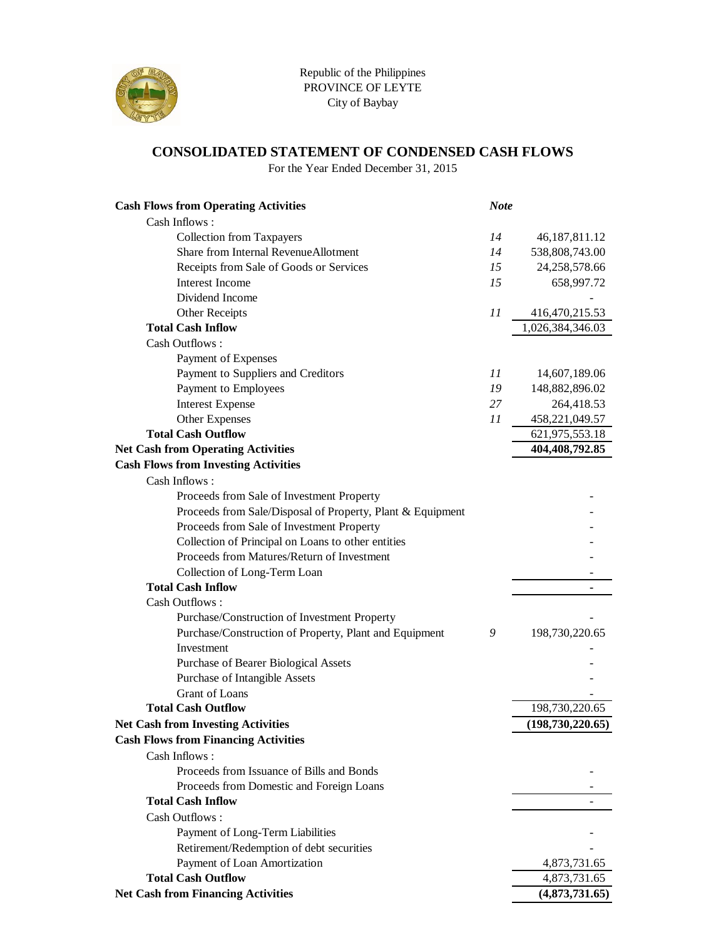

#### **CONSOLIDATED STATEMENT OF CONDENSED CASH FLOWS**

For the Year Ended December 31, 2015

| <b>Cash Flows from Operating Activities</b>                | <b>Note</b> |                    |
|------------------------------------------------------------|-------------|--------------------|
| Cash Inflows:                                              |             |                    |
| <b>Collection from Taxpayers</b>                           | 14          | 46, 187, 811. 12   |
| Share from Internal RevenueAllotment                       | 14          | 538,808,743.00     |
| Receipts from Sale of Goods or Services                    | 15          | 24,258,578.66      |
| <b>Interest Income</b>                                     | 15          | 658,997.72         |
| Dividend Income                                            |             |                    |
| <b>Other Receipts</b>                                      | 11          | 416, 470, 215.53   |
| <b>Total Cash Inflow</b>                                   |             | 1,026,384,346.03   |
| Cash Outflows:                                             |             |                    |
| Payment of Expenses                                        |             |                    |
| Payment to Suppliers and Creditors                         | 11          | 14,607,189.06      |
| Payment to Employees                                       | 19          | 148,882,896.02     |
| <b>Interest Expense</b>                                    | 27          | 264,418.53         |
| <b>Other Expenses</b>                                      | 11          | 458,221,049.57     |
| <b>Total Cash Outflow</b>                                  |             | 621,975,553.18     |
| <b>Net Cash from Operating Activities</b>                  |             | 404,408,792.85     |
| <b>Cash Flows from Investing Activities</b>                |             |                    |
| Cash Inflows:                                              |             |                    |
| Proceeds from Sale of Investment Property                  |             |                    |
| Proceeds from Sale/Disposal of Property, Plant & Equipment |             |                    |
| Proceeds from Sale of Investment Property                  |             |                    |
| Collection of Principal on Loans to other entities         |             |                    |
| Proceeds from Matures/Return of Investment                 |             |                    |
| Collection of Long-Term Loan                               |             |                    |
| <b>Total Cash Inflow</b>                                   |             |                    |
| Cash Outflows:                                             |             |                    |
| Purchase/Construction of Investment Property               |             |                    |
| Purchase/Construction of Property, Plant and Equipment     | 9           | 198,730,220.65     |
| Investment                                                 |             |                    |
| Purchase of Bearer Biological Assets                       |             |                    |
| Purchase of Intangible Assets                              |             |                    |
| Grant of Loans                                             |             |                    |
| <b>Total Cash Outflow</b>                                  |             | 198,730,220.65     |
| <b>Net Cash from Investing Activities</b>                  |             | (198, 730, 220.65) |
| <b>Cash Flows from Financing Activities</b>                |             |                    |
| Cash Inflows:                                              |             |                    |
| Proceeds from Issuance of Bills and Bonds                  |             |                    |
| Proceeds from Domestic and Foreign Loans                   |             |                    |
| <b>Total Cash Inflow</b>                                   |             |                    |
| Cash Outflows:                                             |             |                    |
| Payment of Long-Term Liabilities                           |             |                    |
| Retirement/Redemption of debt securities                   |             |                    |
| Payment of Loan Amortization                               |             | 4,873,731.65       |
| <b>Total Cash Outflow</b>                                  |             | 4,873,731.65       |
| <b>Net Cash from Financing Activities</b>                  |             | (4,873,731.65)     |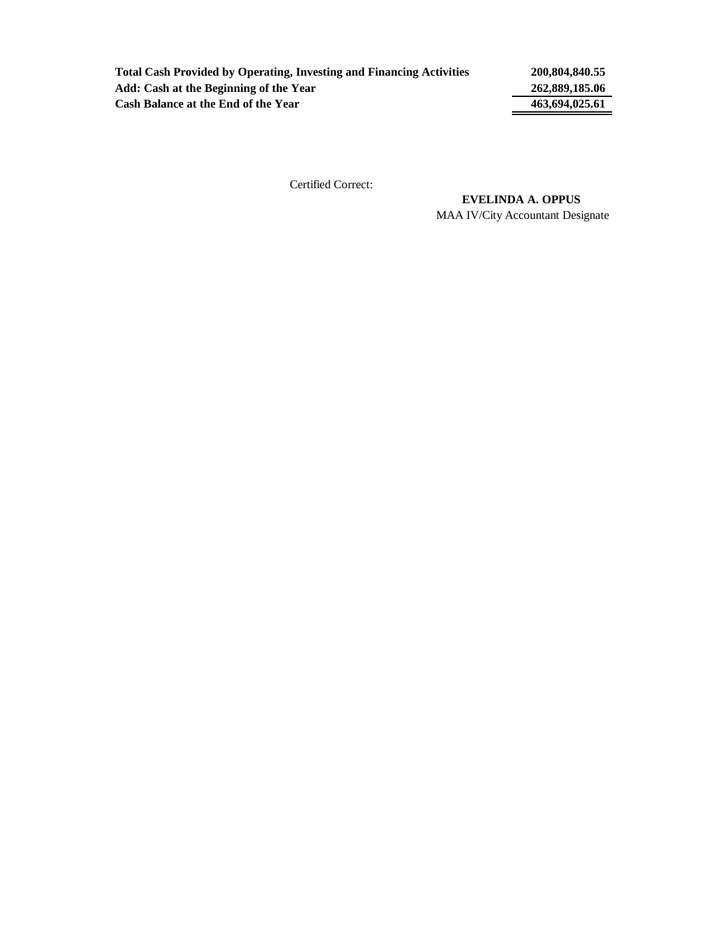**Total Cash Provided by Operating, Investing and Financing Activities 200,804,840.55 Add: Cash at the Beginning of the Year 262,889,185.06** Cash Balance at the End of the Year 463,694,025.61

Certified Correct:

MAA IV/City Accountant Designate  **EVELINDA A. OPPUS**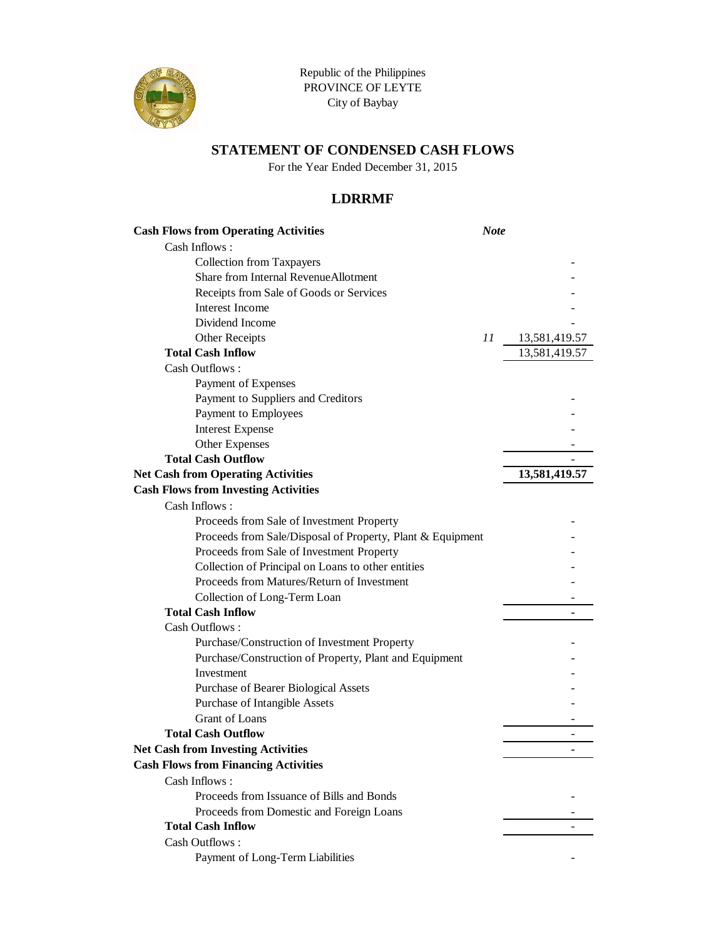

Republic of the Philippines PROVINCE OF LEYTE City of Baybay

### **STATEMENT OF CONDENSED CASH FLOWS**

For the Year Ended December 31, 2015

### **LDRRMF**

| <b>Cash Flows from Operating Activities</b>                | <b>Note</b> |               |
|------------------------------------------------------------|-------------|---------------|
| Cash Inflows:                                              |             |               |
| <b>Collection from Taxpayers</b>                           |             |               |
| Share from Internal RevenueAllotment                       |             |               |
| Receipts from Sale of Goods or Services                    |             |               |
| Interest Income                                            |             |               |
| Dividend Income                                            |             |               |
| Other Receipts                                             | 11          | 13,581,419.57 |
| <b>Total Cash Inflow</b>                                   |             | 13,581,419.57 |
| Cash Outflows:                                             |             |               |
| Payment of Expenses                                        |             |               |
| Payment to Suppliers and Creditors                         |             |               |
| Payment to Employees                                       |             |               |
| <b>Interest Expense</b>                                    |             |               |
| Other Expenses                                             |             |               |
| <b>Total Cash Outflow</b>                                  |             |               |
| <b>Net Cash from Operating Activities</b>                  |             | 13,581,419.57 |
| <b>Cash Flows from Investing Activities</b>                |             |               |
| Cash Inflows:                                              |             |               |
| Proceeds from Sale of Investment Property                  |             |               |
| Proceeds from Sale/Disposal of Property, Plant & Equipment |             |               |
| Proceeds from Sale of Investment Property                  |             |               |
| Collection of Principal on Loans to other entities         |             |               |
| Proceeds from Matures/Return of Investment                 |             |               |
| Collection of Long-Term Loan                               |             |               |
| <b>Total Cash Inflow</b>                                   |             |               |
| Cash Outflows:                                             |             |               |
| Purchase/Construction of Investment Property               |             |               |
| Purchase/Construction of Property, Plant and Equipment     |             |               |
| Investment                                                 |             |               |
| Purchase of Bearer Biological Assets                       |             |               |
| Purchase of Intangible Assets                              |             |               |
| <b>Grant</b> of Loans                                      |             |               |
| <b>Total Cash Outflow</b>                                  |             |               |
| <b>Net Cash from Investing Activities</b>                  |             |               |
| <b>Cash Flows from Financing Activities</b>                |             |               |
| Cash Inflows:                                              |             |               |
| Proceeds from Issuance of Bills and Bonds                  |             |               |
| Proceeds from Domestic and Foreign Loans                   |             |               |
| <b>Total Cash Inflow</b>                                   |             |               |
| Cash Outflows:                                             |             |               |
| Payment of Long-Term Liabilities                           |             |               |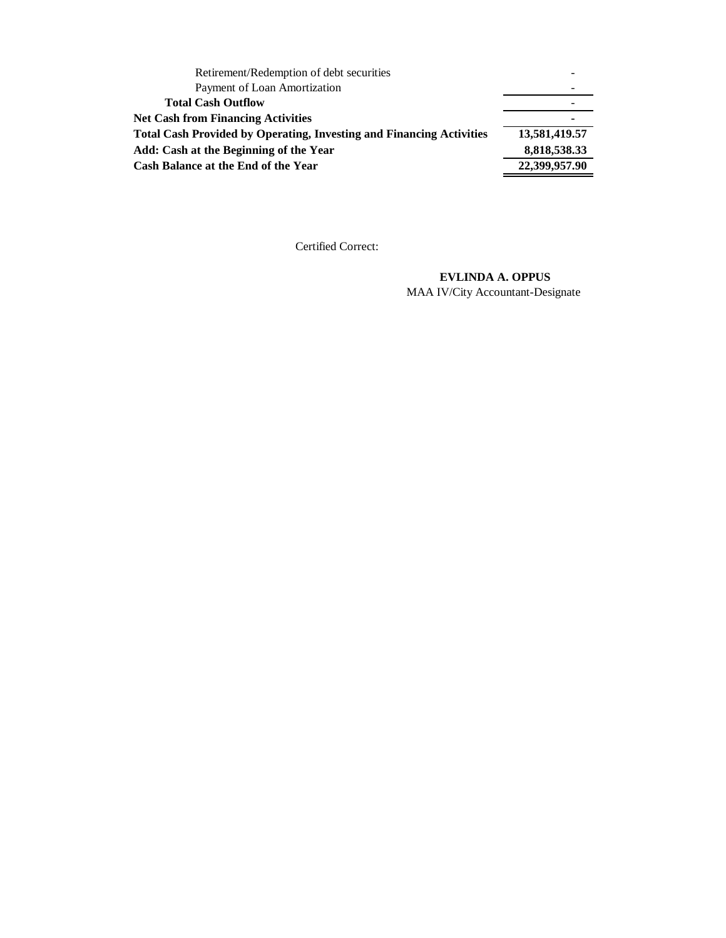| Cash Balance at the End of the Year                                         | 22,399,957.90 |
|-----------------------------------------------------------------------------|---------------|
| Add: Cash at the Beginning of the Year                                      | 8,818,538.33  |
| <b>Total Cash Provided by Operating, Investing and Financing Activities</b> | 13,581,419.57 |
| <b>Net Cash from Financing Activities</b>                                   |               |
| <b>Total Cash Outflow</b>                                                   |               |
| Payment of Loan Amortization                                                |               |
| Retirement/Redemption of debt securities                                    |               |

#### **EVLINDA A. OPPUS**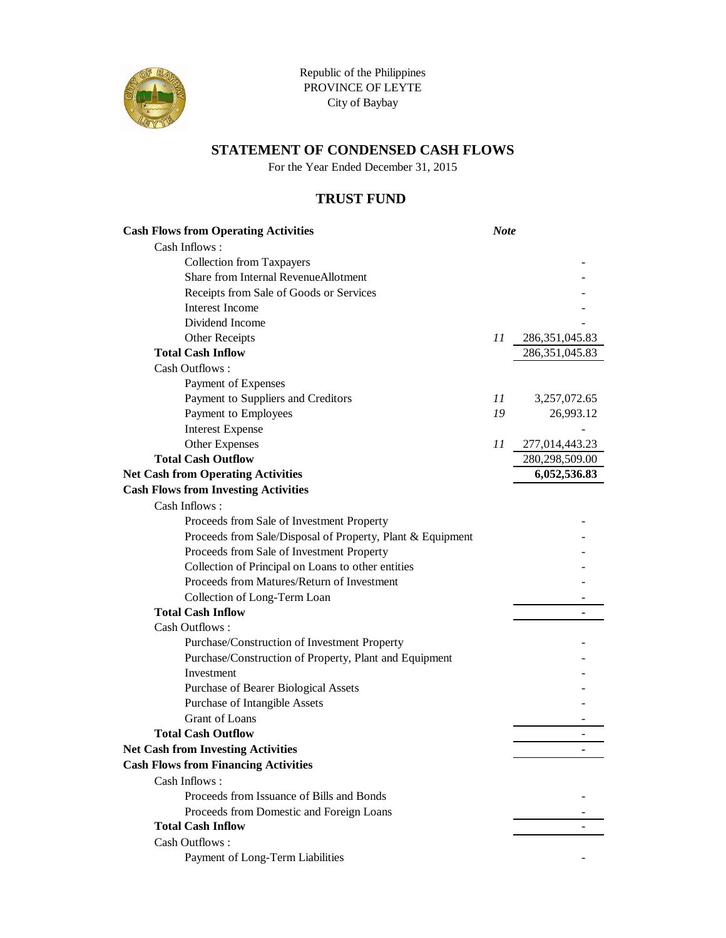

Republic of the Philippines PROVINCE OF LEYTE City of Baybay

### **STATEMENT OF CONDENSED CASH FLOWS**

For the Year Ended December 31, 2015

### **TRUST FUND**

| <b>Cash Flows from Operating Activities</b>                | <b>Note</b> |                  |
|------------------------------------------------------------|-------------|------------------|
| Cash Inflows:                                              |             |                  |
| <b>Collection from Taxpayers</b>                           |             |                  |
| Share from Internal RevenueAllotment                       |             |                  |
| Receipts from Sale of Goods or Services                    |             |                  |
| <b>Interest Income</b>                                     |             |                  |
| Dividend Income                                            |             |                  |
| Other Receipts                                             | 11          | 286, 351, 045.83 |
| <b>Total Cash Inflow</b>                                   |             | 286, 351, 045.83 |
| Cash Outflows:                                             |             |                  |
| Payment of Expenses                                        |             |                  |
| Payment to Suppliers and Creditors                         | 11          | 3,257,072.65     |
| Payment to Employees                                       | 19          | 26,993.12        |
| <b>Interest Expense</b>                                    |             |                  |
| Other Expenses                                             | 11          | 277,014,443.23   |
| <b>Total Cash Outflow</b>                                  |             | 280,298,509.00   |
| <b>Net Cash from Operating Activities</b>                  |             | 6,052,536.83     |
| <b>Cash Flows from Investing Activities</b>                |             |                  |
| Cash Inflows:                                              |             |                  |
| Proceeds from Sale of Investment Property                  |             |                  |
| Proceeds from Sale/Disposal of Property, Plant & Equipment |             |                  |
| Proceeds from Sale of Investment Property                  |             |                  |
| Collection of Principal on Loans to other entities         |             |                  |
| Proceeds from Matures/Return of Investment                 |             |                  |
| Collection of Long-Term Loan                               |             |                  |
| <b>Total Cash Inflow</b>                                   |             |                  |
| Cash Outflows:                                             |             |                  |
| Purchase/Construction of Investment Property               |             |                  |
| Purchase/Construction of Property, Plant and Equipment     |             |                  |
| Investment                                                 |             |                  |
| Purchase of Bearer Biological Assets                       |             |                  |
| Purchase of Intangible Assets                              |             |                  |
| <b>Grant</b> of Loans                                      |             |                  |
| <b>Total Cash Outflow</b>                                  |             |                  |
| <b>Net Cash from Investing Activities</b>                  |             |                  |
| <b>Cash Flows from Financing Activities</b>                |             |                  |
| Cash Inflows:                                              |             |                  |
| Proceeds from Issuance of Bills and Bonds                  |             |                  |
| Proceeds from Domestic and Foreign Loans                   |             |                  |
| <b>Total Cash Inflow</b>                                   |             |                  |
| Cash Outflows:                                             |             |                  |
| Payment of Long-Term Liabilities                           |             |                  |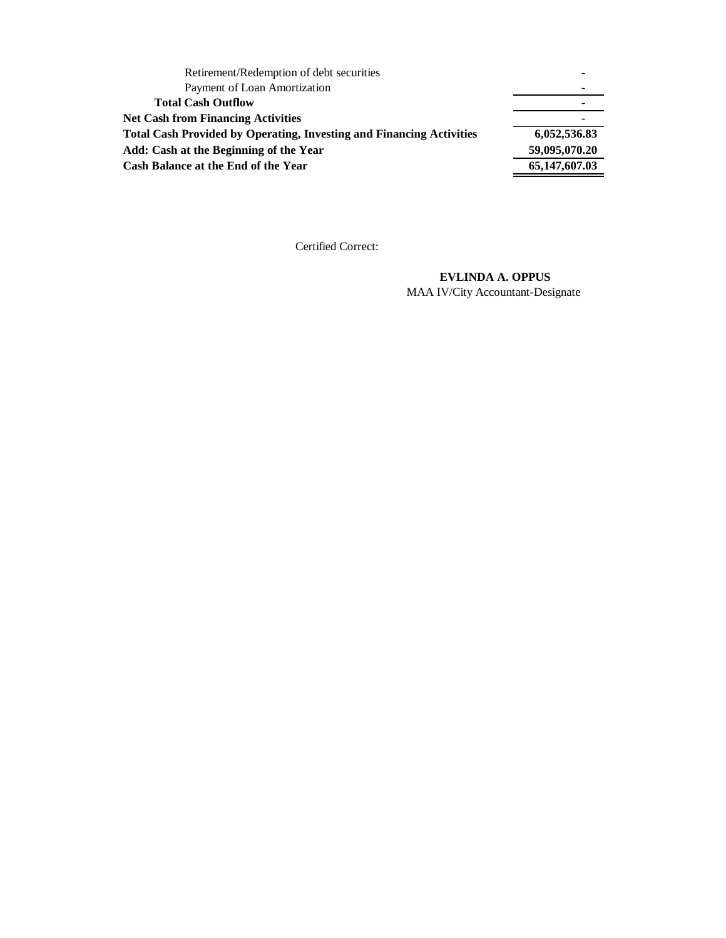| Retirement/Redemption of debt securities                                    |               |
|-----------------------------------------------------------------------------|---------------|
| Payment of Loan Amortization                                                |               |
| <b>Total Cash Outflow</b>                                                   |               |
| <b>Net Cash from Financing Activities</b>                                   | ۰             |
| <b>Total Cash Provided by Operating, Investing and Financing Activities</b> | 6,052,536.83  |
| Add: Cash at the Beginning of the Year                                      | 59,095,070.20 |
| Cash Balance at the End of the Year                                         | 65,147,607.03 |
|                                                                             |               |

#### **EVLINDA A. OPPUS**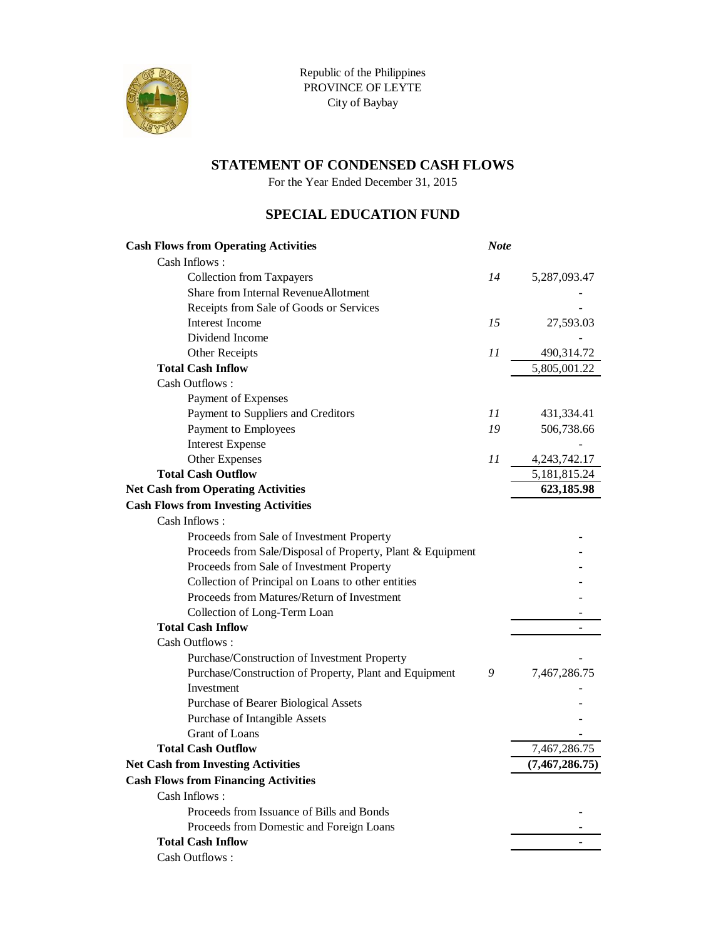

For the Year Ended December 31, 2015

### **SPECIAL EDUCATION FUND**

| <b>Cash Flows from Operating Activities</b>                | <b>Note</b> |                  |
|------------------------------------------------------------|-------------|------------------|
| Cash Inflows:                                              |             |                  |
| <b>Collection from Taxpayers</b>                           | 14          | 5,287,093.47     |
| Share from Internal RevenueAllotment                       |             |                  |
| Receipts from Sale of Goods or Services                    |             |                  |
| Interest Income                                            | 15          | 27,593.03        |
| Dividend Income                                            |             |                  |
| Other Receipts                                             | 11          | 490,314.72       |
| <b>Total Cash Inflow</b>                                   |             | 5,805,001.22     |
| Cash Outflows:                                             |             |                  |
| Payment of Expenses                                        |             |                  |
| Payment to Suppliers and Creditors                         | 11          | 431,334.41       |
| Payment to Employees                                       | 19          | 506,738.66       |
| <b>Interest Expense</b>                                    |             |                  |
| Other Expenses                                             | 11          | 4, 243, 742. 17  |
| <b>Total Cash Outflow</b>                                  |             | 5, 181, 815. 24  |
| <b>Net Cash from Operating Activities</b>                  |             | 623,185.98       |
| <b>Cash Flows from Investing Activities</b>                |             |                  |
| Cash Inflows:                                              |             |                  |
| Proceeds from Sale of Investment Property                  |             |                  |
| Proceeds from Sale/Disposal of Property, Plant & Equipment |             |                  |
| Proceeds from Sale of Investment Property                  |             |                  |
| Collection of Principal on Loans to other entities         |             |                  |
| Proceeds from Matures/Return of Investment                 |             |                  |
| Collection of Long-Term Loan                               |             |                  |
| <b>Total Cash Inflow</b>                                   |             |                  |
| Cash Outflows:                                             |             |                  |
| Purchase/Construction of Investment Property               |             |                  |
| Purchase/Construction of Property, Plant and Equipment     | 9           | 7,467,286.75     |
| Investment                                                 |             |                  |
| Purchase of Bearer Biological Assets                       |             |                  |
| Purchase of Intangible Assets                              |             |                  |
| Grant of Loans                                             |             |                  |
| <b>Total Cash Outflow</b>                                  |             | 7,467,286.75     |
| <b>Net Cash from Investing Activities</b>                  |             | (7, 467, 286.75) |
| <b>Cash Flows from Financing Activities</b>                |             |                  |
| Cash Inflows:                                              |             |                  |
| Proceeds from Issuance of Bills and Bonds                  |             |                  |
| Proceeds from Domestic and Foreign Loans                   |             |                  |
| <b>Total Cash Inflow</b>                                   |             |                  |
| Cash Outflows:                                             |             |                  |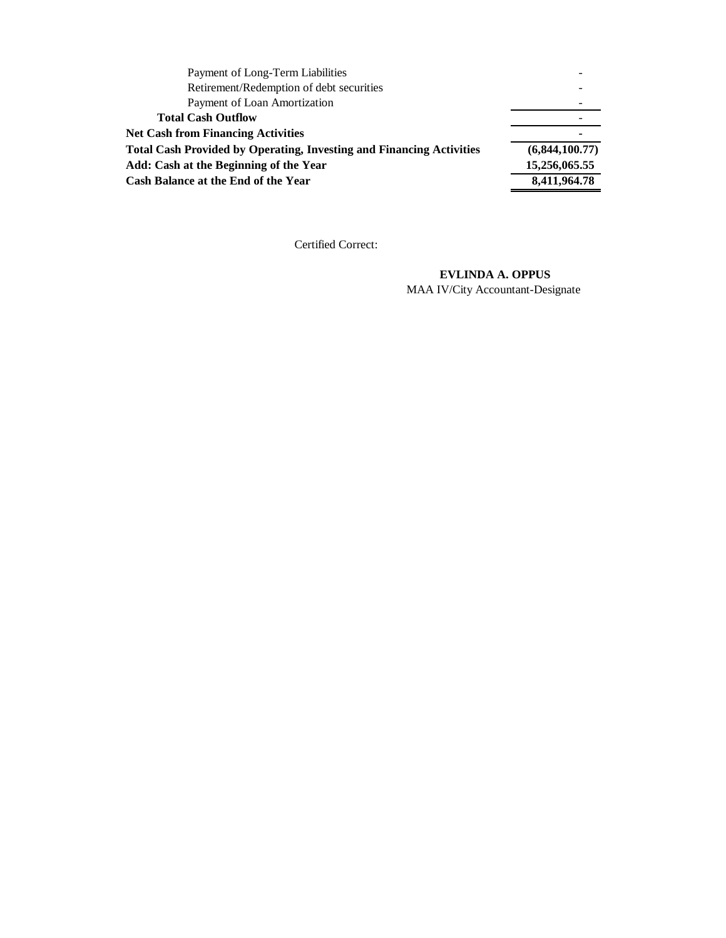| Payment of Long-Term Liabilities                                            |                |
|-----------------------------------------------------------------------------|----------------|
| Retirement/Redemption of debt securities                                    |                |
| Payment of Loan Amortization                                                |                |
| <b>Total Cash Outflow</b>                                                   |                |
| <b>Net Cash from Financing Activities</b>                                   |                |
| <b>Total Cash Provided by Operating, Investing and Financing Activities</b> | (6,844,100.77) |
| Add: Cash at the Beginning of the Year                                      | 15,256,065.55  |
| Cash Balance at the End of the Year                                         | 8,411,964.78   |

#### **EVLINDA A. OPPUS**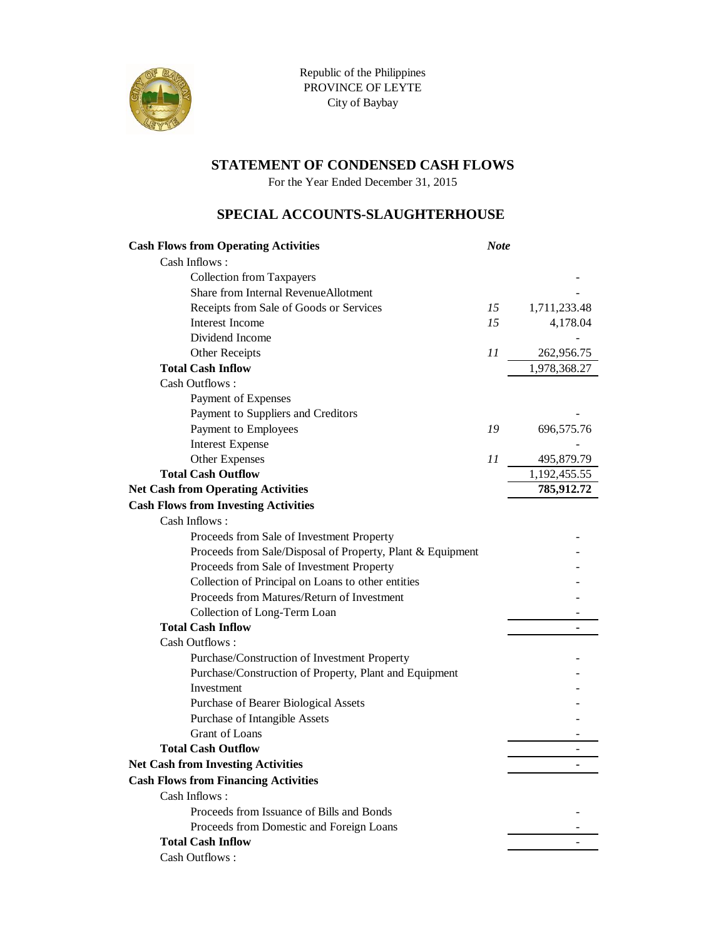

For the Year Ended December 31, 2015

#### **SPECIAL ACCOUNTS-SLAUGHTERHOUSE**

| <b>Cash Flows from Operating Activities</b>                | <b>Note</b> |              |
|------------------------------------------------------------|-------------|--------------|
| Cash Inflows:                                              |             |              |
| <b>Collection from Taxpayers</b>                           |             |              |
| Share from Internal RevenueAllotment                       |             |              |
| Receipts from Sale of Goods or Services                    | 15          | 1,711,233.48 |
| Interest Income                                            | 15          | 4,178.04     |
| Dividend Income                                            |             |              |
| Other Receipts                                             | 11          | 262,956.75   |
| <b>Total Cash Inflow</b>                                   |             | 1,978,368.27 |
| Cash Outflows:                                             |             |              |
| Payment of Expenses                                        |             |              |
| Payment to Suppliers and Creditors                         |             |              |
| Payment to Employees                                       | 19          | 696,575.76   |
| <b>Interest Expense</b>                                    |             |              |
| Other Expenses                                             | 11          | 495,879.79   |
| <b>Total Cash Outflow</b>                                  |             | 1,192,455.55 |
| <b>Net Cash from Operating Activities</b>                  |             | 785,912.72   |
| <b>Cash Flows from Investing Activities</b>                |             |              |
| Cash Inflows:                                              |             |              |
| Proceeds from Sale of Investment Property                  |             |              |
| Proceeds from Sale/Disposal of Property, Plant & Equipment |             |              |
| Proceeds from Sale of Investment Property                  |             |              |
| Collection of Principal on Loans to other entities         |             |              |
| Proceeds from Matures/Return of Investment                 |             |              |
| Collection of Long-Term Loan                               |             |              |
| <b>Total Cash Inflow</b>                                   |             |              |
| Cash Outflows:                                             |             |              |
| Purchase/Construction of Investment Property               |             |              |
| Purchase/Construction of Property, Plant and Equipment     |             |              |
| Investment                                                 |             |              |
| Purchase of Bearer Biological Assets                       |             |              |
| Purchase of Intangible Assets                              |             |              |
| Grant of Loans                                             |             |              |
| <b>Total Cash Outflow</b>                                  |             |              |
| <b>Net Cash from Investing Activities</b>                  |             |              |
| <b>Cash Flows from Financing Activities</b>                |             |              |
| Cash Inflows:                                              |             |              |
| Proceeds from Issuance of Bills and Bonds                  |             |              |
| Proceeds from Domestic and Foreign Loans                   |             |              |
| <b>Total Cash Inflow</b>                                   |             |              |
| Cash Outflows:                                             |             |              |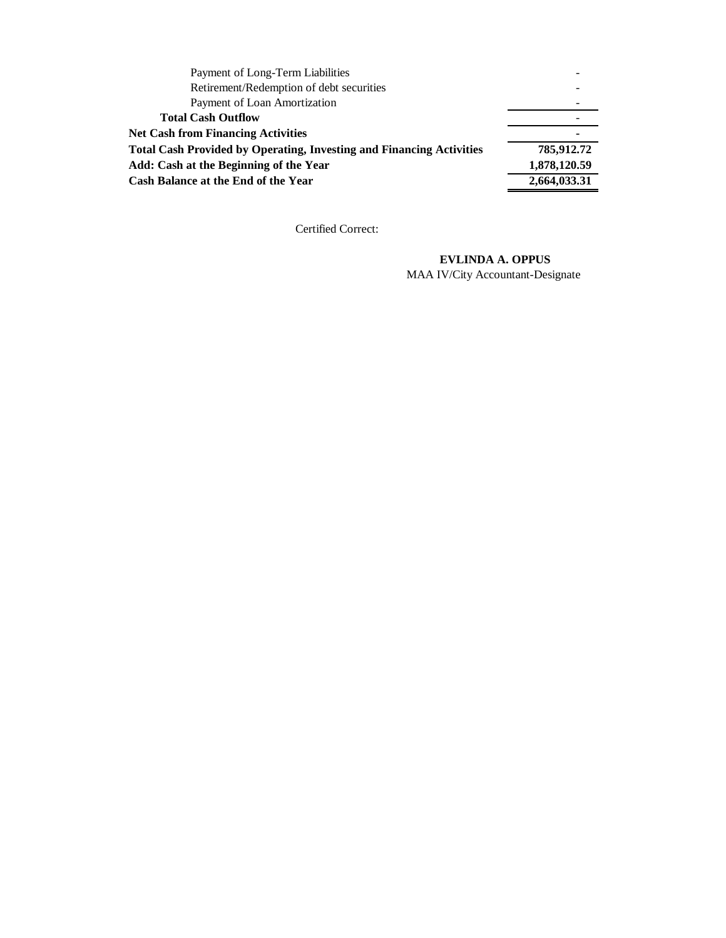| Payment of Long-Term Liabilities                                            |              |
|-----------------------------------------------------------------------------|--------------|
| Retirement/Redemption of debt securities                                    |              |
| Payment of Loan Amortization                                                |              |
| <b>Total Cash Outflow</b>                                                   |              |
| <b>Net Cash from Financing Activities</b>                                   |              |
| <b>Total Cash Provided by Operating, Investing and Financing Activities</b> | 785,912.72   |
| Add: Cash at the Beginning of the Year                                      | 1,878,120.59 |
| Cash Balance at the End of the Year                                         | 2,664,033.31 |
|                                                                             |              |

#### **EVLINDA A. OPPUS**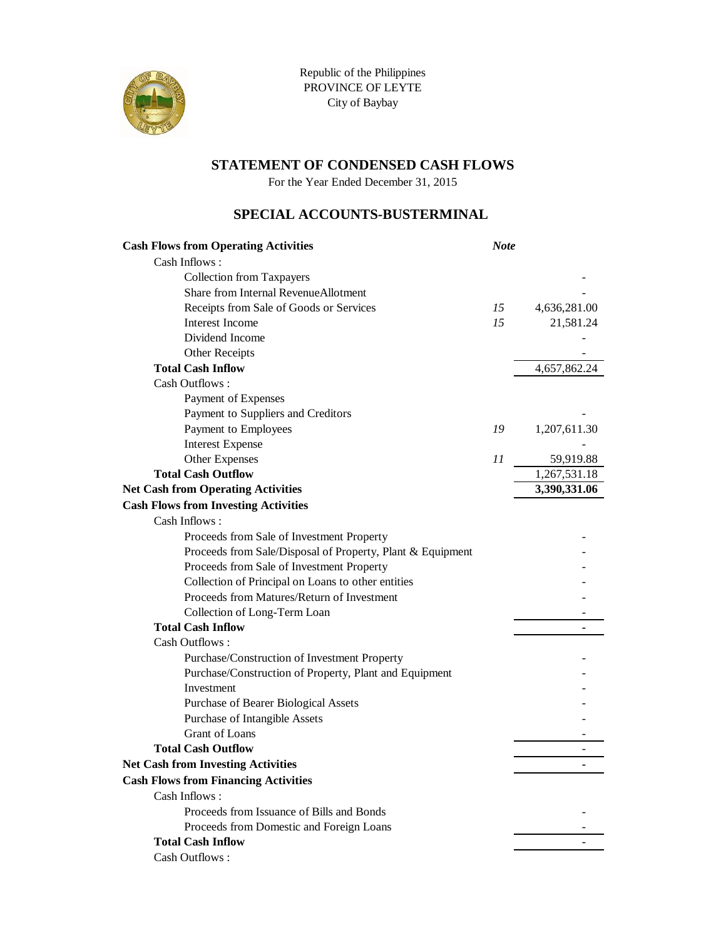

For the Year Ended December 31, 2015

### **SPECIAL ACCOUNTS-BUSTERMINAL**

| <b>Cash Flows from Operating Activities</b>                | <b>Note</b> |              |
|------------------------------------------------------------|-------------|--------------|
| Cash Inflows:                                              |             |              |
| <b>Collection from Taxpayers</b>                           |             |              |
| Share from Internal RevenueAllotment                       |             |              |
| Receipts from Sale of Goods or Services                    | 15          | 4,636,281.00 |
| <b>Interest Income</b>                                     | 15          | 21,581.24    |
| Dividend Income                                            |             |              |
| Other Receipts                                             |             |              |
| <b>Total Cash Inflow</b>                                   |             | 4,657,862.24 |
| Cash Outflows:                                             |             |              |
| Payment of Expenses                                        |             |              |
| Payment to Suppliers and Creditors                         |             |              |
| Payment to Employees                                       | 19          | 1,207,611.30 |
| <b>Interest Expense</b>                                    |             |              |
| Other Expenses                                             | 11          | 59,919.88    |
| <b>Total Cash Outflow</b>                                  |             | 1,267,531.18 |
| <b>Net Cash from Operating Activities</b>                  |             | 3,390,331.06 |
| <b>Cash Flows from Investing Activities</b>                |             |              |
| Cash Inflows:                                              |             |              |
| Proceeds from Sale of Investment Property                  |             |              |
| Proceeds from Sale/Disposal of Property, Plant & Equipment |             |              |
| Proceeds from Sale of Investment Property                  |             |              |
| Collection of Principal on Loans to other entities         |             |              |
| Proceeds from Matures/Return of Investment                 |             |              |
| Collection of Long-Term Loan                               |             |              |
| <b>Total Cash Inflow</b>                                   |             |              |
| Cash Outflows:                                             |             |              |
| Purchase/Construction of Investment Property               |             |              |
| Purchase/Construction of Property, Plant and Equipment     |             |              |
| Investment                                                 |             |              |
| Purchase of Bearer Biological Assets                       |             |              |
| Purchase of Intangible Assets                              |             |              |
| <b>Grant</b> of Loans                                      |             |              |
| <b>Total Cash Outflow</b>                                  |             |              |
| <b>Net Cash from Investing Activities</b>                  |             |              |
| <b>Cash Flows from Financing Activities</b>                |             |              |
| Cash Inflows:                                              |             |              |
| Proceeds from Issuance of Bills and Bonds                  |             |              |
| Proceeds from Domestic and Foreign Loans                   |             |              |
| <b>Total Cash Inflow</b>                                   |             |              |
| Cash Outflows:                                             |             |              |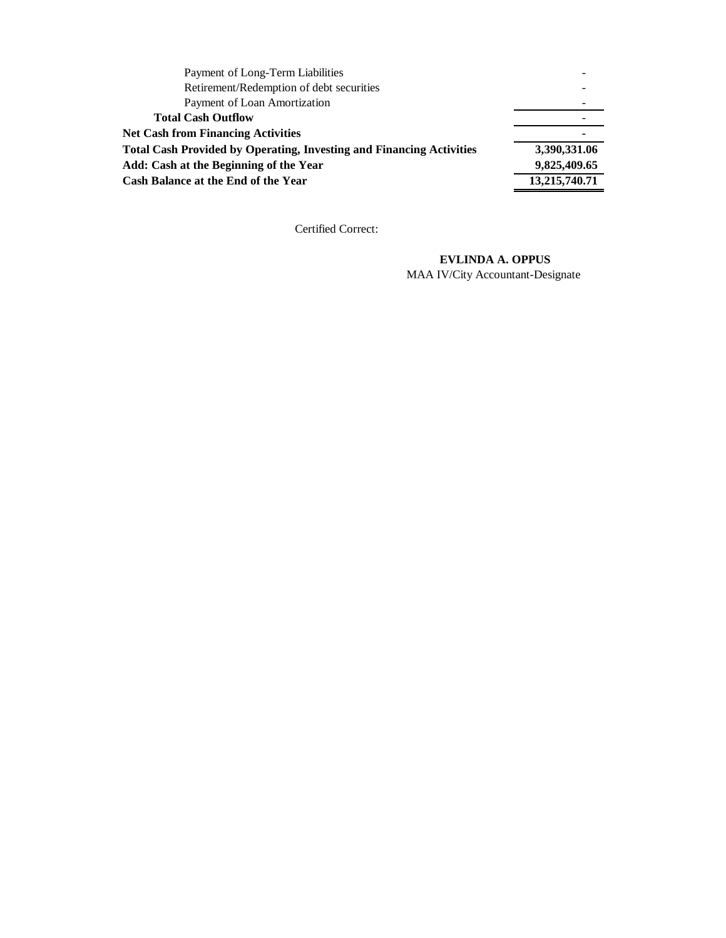| Payment of Long-Term Liabilities                                            |               |
|-----------------------------------------------------------------------------|---------------|
| Retirement/Redemption of debt securities                                    |               |
| Payment of Loan Amortization                                                |               |
| <b>Total Cash Outflow</b>                                                   |               |
| <b>Net Cash from Financing Activities</b>                                   |               |
| <b>Total Cash Provided by Operating, Investing and Financing Activities</b> | 3,390,331.06  |
| Add: Cash at the Beginning of the Year                                      | 9,825,409.65  |
| <b>Cash Balance at the End of the Year</b>                                  | 13,215,740.71 |

#### **EVLINDA A. OPPUS**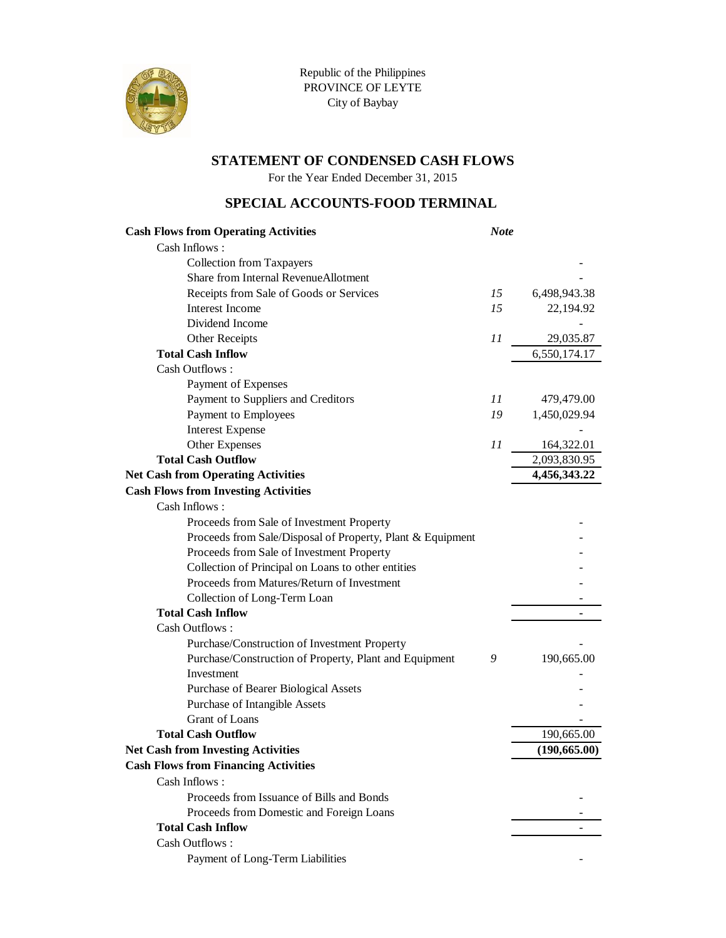

For the Year Ended December 31, 2015

#### **SPECIAL ACCOUNTS-FOOD TERMINAL**

| <b>Cash Flows from Operating Activities</b>                | <b>Note</b> |               |
|------------------------------------------------------------|-------------|---------------|
| Cash Inflows:                                              |             |               |
| <b>Collection from Taxpayers</b>                           |             |               |
| Share from Internal RevenueAllotment                       |             |               |
| Receipts from Sale of Goods or Services                    | 15          | 6,498,943.38  |
| <b>Interest Income</b>                                     | 15          | 22,194.92     |
| Dividend Income                                            |             |               |
| Other Receipts                                             | 11          | 29,035.87     |
| <b>Total Cash Inflow</b>                                   |             | 6,550,174.17  |
| Cash Outflows:                                             |             |               |
| Payment of Expenses                                        |             |               |
| Payment to Suppliers and Creditors                         | 11          | 479,479.00    |
| Payment to Employees                                       | 19          | 1,450,029.94  |
| <b>Interest Expense</b>                                    |             |               |
| Other Expenses                                             | 11          | 164,322.01    |
| <b>Total Cash Outflow</b>                                  |             | 2,093,830.95  |
| <b>Net Cash from Operating Activities</b>                  |             | 4,456,343.22  |
| <b>Cash Flows from Investing Activities</b>                |             |               |
| Cash Inflows:                                              |             |               |
| Proceeds from Sale of Investment Property                  |             |               |
| Proceeds from Sale/Disposal of Property, Plant & Equipment |             |               |
| Proceeds from Sale of Investment Property                  |             |               |
| Collection of Principal on Loans to other entities         |             |               |
| Proceeds from Matures/Return of Investment                 |             |               |
| Collection of Long-Term Loan                               |             |               |
| <b>Total Cash Inflow</b>                                   |             |               |
| Cash Outflows:                                             |             |               |
| Purchase/Construction of Investment Property               |             |               |
| Purchase/Construction of Property, Plant and Equipment     | 9           | 190,665.00    |
| Investment                                                 |             |               |
| Purchase of Bearer Biological Assets                       |             |               |
| Purchase of Intangible Assets                              |             |               |
| <b>Grant of Loans</b>                                      |             |               |
| <b>Total Cash Outflow</b>                                  |             | 190,665.00    |
| <b>Net Cash from Investing Activities</b>                  |             | (190, 665.00) |
| <b>Cash Flows from Financing Activities</b>                |             |               |
| Cash Inflows:                                              |             |               |
| Proceeds from Issuance of Bills and Bonds                  |             |               |
| Proceeds from Domestic and Foreign Loans                   |             |               |
| <b>Total Cash Inflow</b>                                   |             |               |
| Cash Outflows:                                             |             |               |
| Payment of Long-Term Liabilities                           |             |               |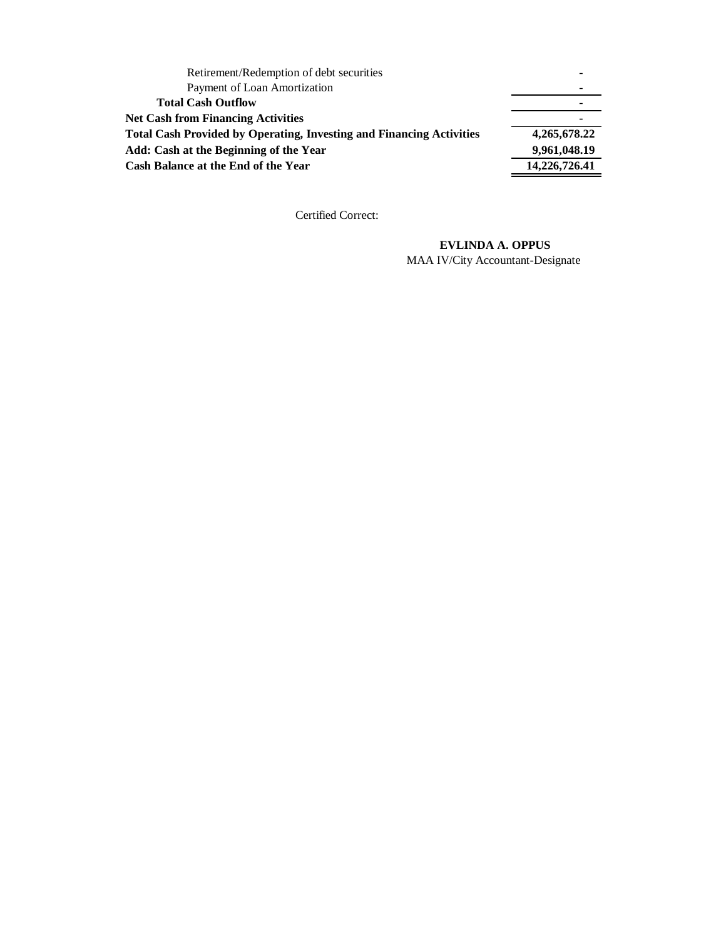| Retirement/Redemption of debt securities                                    |               |
|-----------------------------------------------------------------------------|---------------|
| Payment of Loan Amortization                                                |               |
| <b>Total Cash Outflow</b>                                                   |               |
| <b>Net Cash from Financing Activities</b>                                   | ۰             |
| <b>Total Cash Provided by Operating, Investing and Financing Activities</b> | 4,265,678.22  |
| Add: Cash at the Beginning of the Year                                      | 9,961,048.19  |
| Cash Balance at the End of the Year                                         | 14,226,726.41 |

#### **EVLINDA A. OPPUS**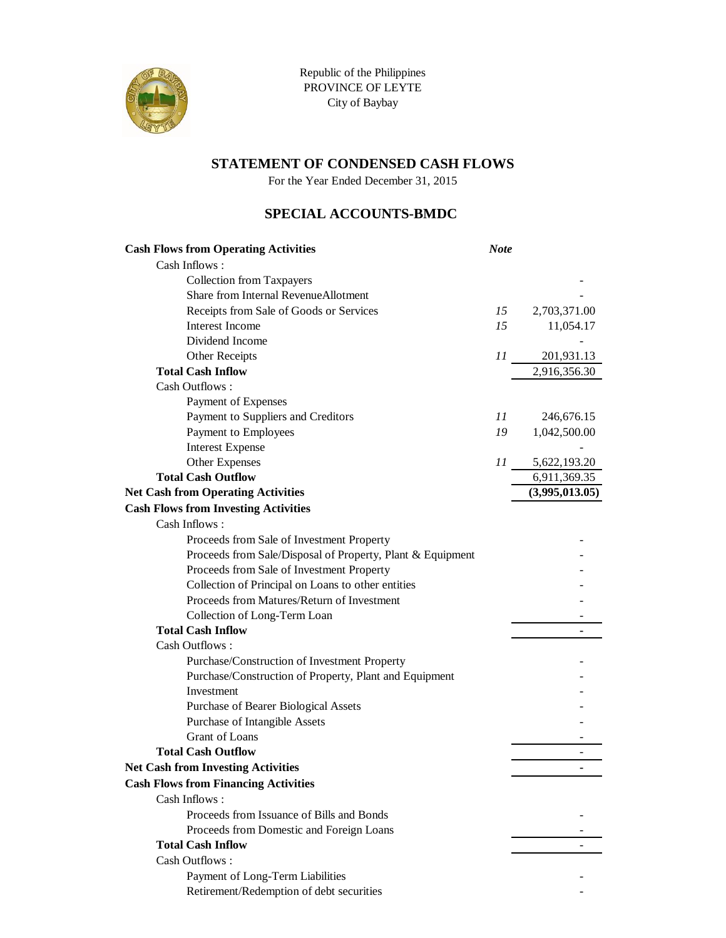

For the Year Ended December 31, 2015

### **SPECIAL ACCOUNTS-BMDC**

| <b>Cash Flows from Operating Activities</b>                | <b>Note</b> |                |
|------------------------------------------------------------|-------------|----------------|
| Cash Inflows:                                              |             |                |
| <b>Collection from Taxpayers</b>                           |             |                |
| Share from Internal RevenueAllotment                       |             |                |
| Receipts from Sale of Goods or Services                    | 15          | 2,703,371.00   |
| <b>Interest Income</b>                                     | 15          | 11,054.17      |
| Dividend Income                                            |             |                |
| Other Receipts                                             | 11          | 201,931.13     |
| <b>Total Cash Inflow</b>                                   |             | 2,916,356.30   |
| Cash Outflows:                                             |             |                |
| Payment of Expenses                                        |             |                |
| Payment to Suppliers and Creditors                         | 11          | 246,676.15     |
| Payment to Employees                                       | 19          | 1,042,500.00   |
| <b>Interest Expense</b>                                    |             |                |
| Other Expenses                                             | II          | 5,622,193.20   |
| <b>Total Cash Outflow</b>                                  |             | 6,911,369.35   |
| <b>Net Cash from Operating Activities</b>                  |             | (3,995,013.05) |
| <b>Cash Flows from Investing Activities</b>                |             |                |
| Cash Inflows:                                              |             |                |
| Proceeds from Sale of Investment Property                  |             |                |
| Proceeds from Sale/Disposal of Property, Plant & Equipment |             |                |
| Proceeds from Sale of Investment Property                  |             |                |
| Collection of Principal on Loans to other entities         |             |                |
| Proceeds from Matures/Return of Investment                 |             |                |
| Collection of Long-Term Loan                               |             |                |
| <b>Total Cash Inflow</b>                                   |             |                |
| Cash Outflows:                                             |             |                |
| Purchase/Construction of Investment Property               |             |                |
| Purchase/Construction of Property, Plant and Equipment     |             |                |
| Investment                                                 |             |                |
| Purchase of Bearer Biological Assets                       |             |                |
| Purchase of Intangible Assets                              |             |                |
| Grant of Loans                                             |             |                |
| <b>Total Cash Outflow</b>                                  |             |                |
| <b>Net Cash from Investing Activities</b>                  |             |                |
| <b>Cash Flows from Financing Activities</b>                |             |                |
| Cash Inflows:                                              |             |                |
| Proceeds from Issuance of Bills and Bonds                  |             |                |
| Proceeds from Domestic and Foreign Loans                   |             |                |
| <b>Total Cash Inflow</b>                                   |             |                |
| Cash Outflows:                                             |             |                |
| Payment of Long-Term Liabilities                           |             |                |
| Retirement/Redemption of debt securities                   |             |                |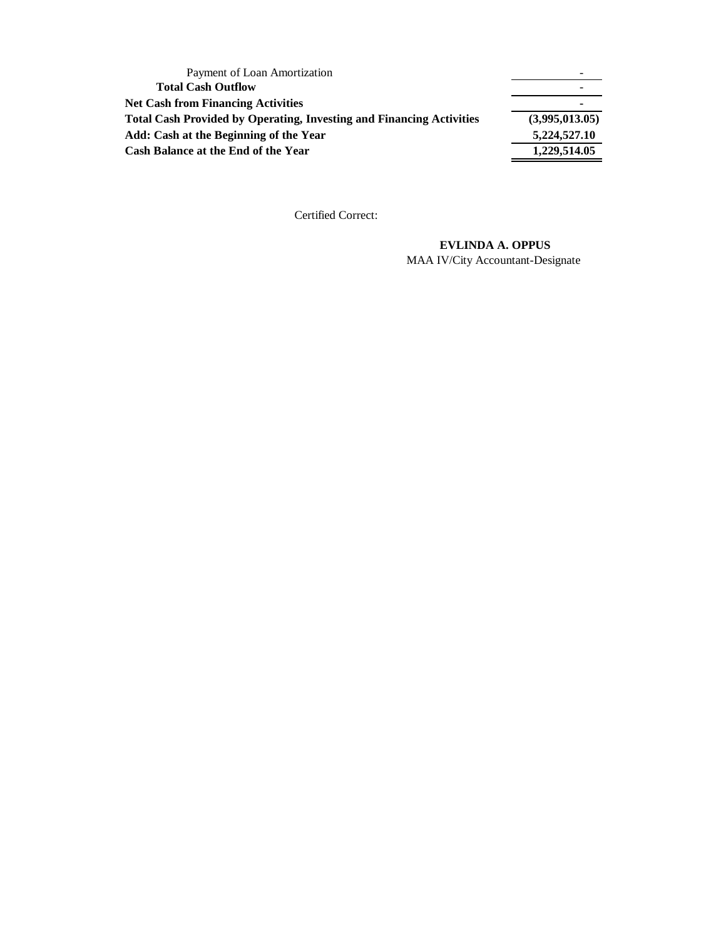| Payment of Loan Amortization                                                |                |
|-----------------------------------------------------------------------------|----------------|
| <b>Total Cash Outflow</b>                                                   |                |
| <b>Net Cash from Financing Activities</b>                                   |                |
| <b>Total Cash Provided by Operating, Investing and Financing Activities</b> | (3,995,013.05) |
| Add: Cash at the Beginning of the Year                                      | 5,224,527.10   |
| Cash Balance at the End of the Year                                         | 1,229,514.05   |

#### **EVLINDA A. OPPUS**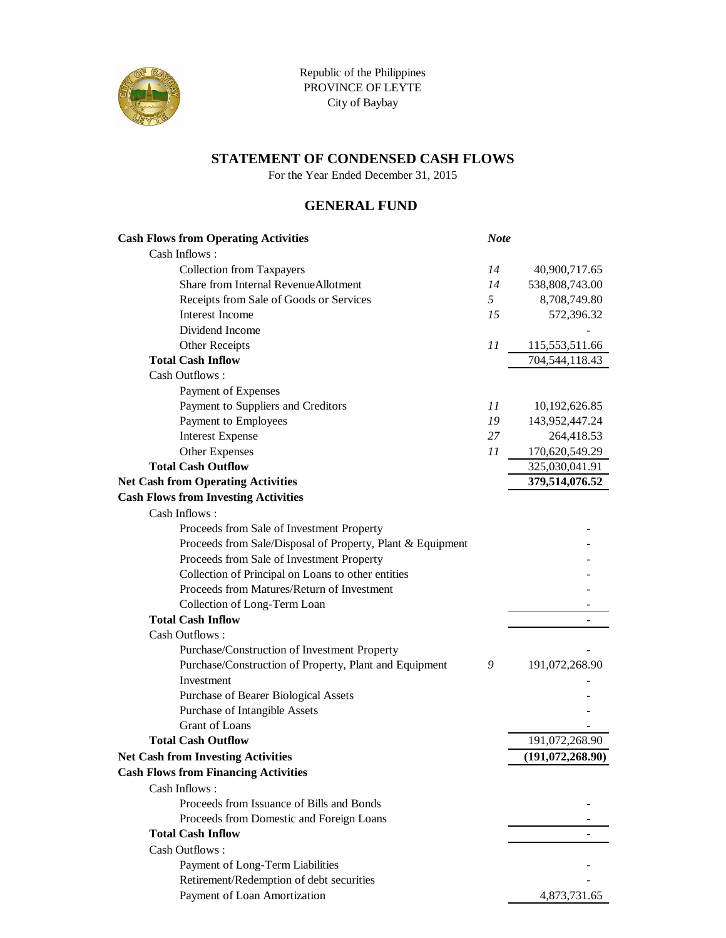

For the Year Ended December 31, 2015

### **GENERAL FUND**

| <b>Cash Flows from Operating Activities</b>                | <b>Note</b>    |                  |
|------------------------------------------------------------|----------------|------------------|
| Cash Inflows:                                              |                |                  |
| <b>Collection from Taxpayers</b>                           | 14             | 40,900,717.65    |
| Share from Internal RevenueAllotment                       | 14             | 538,808,743.00   |
| Receipts from Sale of Goods or Services                    | 5 <sup>1</sup> | 8,708,749.80     |
| Interest Income                                            | 15             | 572,396.32       |
| Dividend Income                                            |                |                  |
| Other Receipts                                             | 11             | 115,553,511.66   |
| <b>Total Cash Inflow</b>                                   |                | 704,544,118.43   |
| Cash Outflows:                                             |                |                  |
| Payment of Expenses                                        |                |                  |
| Payment to Suppliers and Creditors                         | 11             | 10,192,626.85    |
| Payment to Employees                                       | 19             | 143,952,447.24   |
| <b>Interest Expense</b>                                    | 27             | 264,418.53       |
| Other Expenses                                             | 11             | 170,620,549.29   |
| <b>Total Cash Outflow</b>                                  |                | 325,030,041.91   |
| <b>Net Cash from Operating Activities</b>                  |                | 379,514,076.52   |
| <b>Cash Flows from Investing Activities</b>                |                |                  |
| Cash Inflows:                                              |                |                  |
| Proceeds from Sale of Investment Property                  |                |                  |
| Proceeds from Sale/Disposal of Property, Plant & Equipment |                |                  |
| Proceeds from Sale of Investment Property                  |                |                  |
| Collection of Principal on Loans to other entities         |                |                  |
| Proceeds from Matures/Return of Investment                 |                |                  |
| Collection of Long-Term Loan                               |                |                  |
| <b>Total Cash Inflow</b>                                   |                |                  |
| Cash Outflows:                                             |                |                  |
| Purchase/Construction of Investment Property               |                |                  |
| Purchase/Construction of Property, Plant and Equipment     | 9              | 191,072,268.90   |
| Investment                                                 |                |                  |
| Purchase of Bearer Biological Assets                       |                |                  |
| Purchase of Intangible Assets                              |                |                  |
| Grant of Loans                                             |                |                  |
| <b>Total Cash Outflow</b>                                  |                | 191,072,268.90   |
| <b>Net Cash from Investing Activities</b>                  |                | (191,072,268.90) |
| <b>Cash Flows from Financing Activities</b>                |                |                  |
| Cash Inflows:                                              |                |                  |
| Proceeds from Issuance of Bills and Bonds                  |                |                  |
| Proceeds from Domestic and Foreign Loans                   |                |                  |
| <b>Total Cash Inflow</b>                                   |                |                  |
| Cash Outflows:                                             |                |                  |
| Payment of Long-Term Liabilities                           |                |                  |
| Retirement/Redemption of debt securities                   |                |                  |
| Payment of Loan Amortization                               |                | 4,873,731.65     |